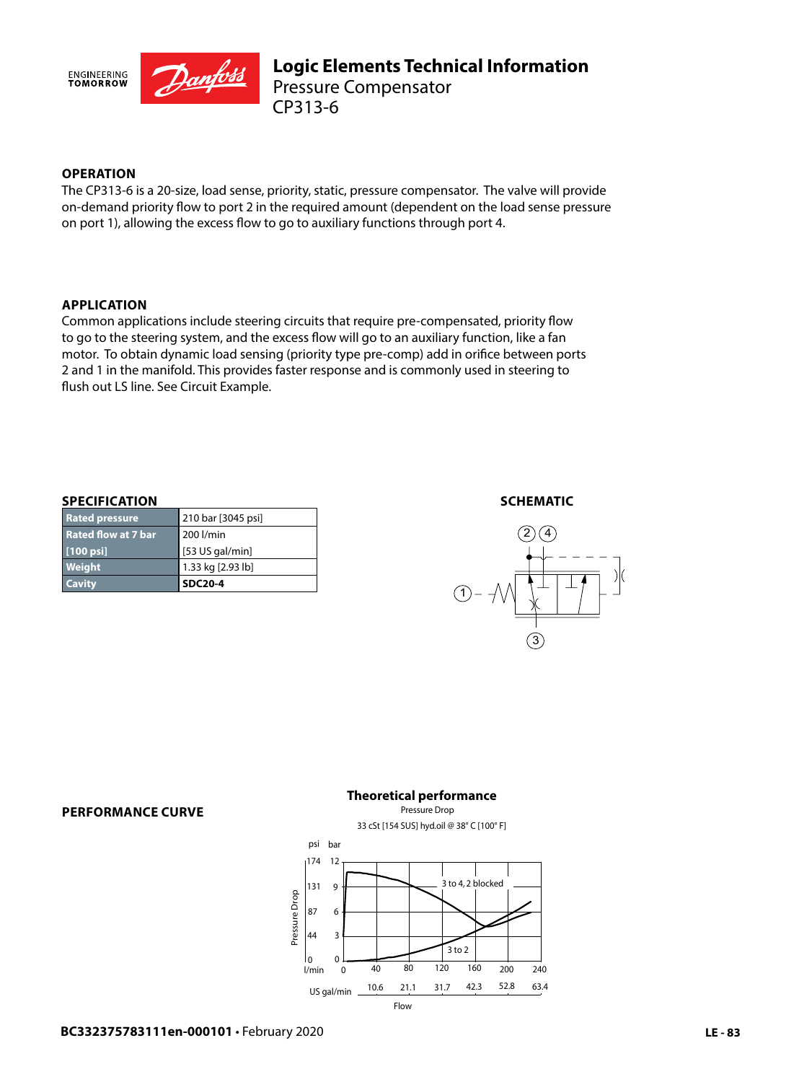

# **OPERATION**

The CP313-6 is a 20-size, load sense, priority, static, pressure compensator. The valve will provide on-demand priority flow to port 2 in the required amount (dependent on the load sense pressure on port 1), allowing the excess flow to go to auxiliary functions through port 4.

# **APPLICATION**

Common applications include steering circuits that require pre-compensated, priority flow to go to the steering system, and the excess flow will go to an auxiliary function, like a fan motor. To obtain dynamic load sensing (priority type pre-comp) add in orifice between ports 2 and 1 in the manifold. This provides faster response and is commonly used in steering to flush out LS line. See Circuit Example.

### **SPECIFICATION**

| <b>Weight</b><br><b>Cavity</b> | 1.33 kg [2.93 lb]<br><b>SDC20-4</b> |
|--------------------------------|-------------------------------------|
|                                |                                     |
| $[100 \text{ psi}]$            | $[53$ US gal/min]                   |
| <b>Rated flow at 7 bar</b>     | 200 l/min                           |
| <b>Rated pressure</b>          | 210 bar [3045 psi]                  |

## **SCHEMATIC**



#### **PERFORMANCE CURVE**

# **Theoretical performance**

Pressure Drop 33 cSt [154 SUS] hyd.oil @ 38° C [100° F]